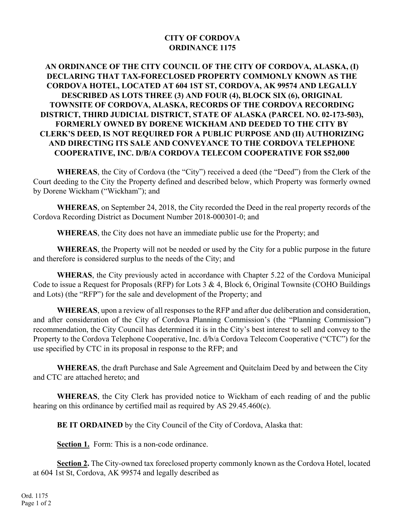## **CITY OF CORDOVA ORDINANCE 1175**

## **AN ORDINANCE OF THE CITY COUNCIL OF THE CITY OF CORDOVA, ALASKA, (I) DECLARING THAT TAX-FORECLOSED PROPERTY COMMONLY KNOWN AS THE CORDOVA HOTEL, LOCATED AT 604 1ST ST, CORDOVA, AK 99574 AND LEGALLY DESCRIBED AS LOTS THREE (3) AND FOUR (4), BLOCK SIX (6), ORIGINAL TOWNSITE OF CORDOVA, ALASKA, RECORDS OF THE CORDOVA RECORDING DISTRICT, THIRD JUDICIAL DISTRICT, STATE OF ALASKA (PARCEL NO. 02-173-503), FORMERLY OWNED BY DORENE WICKHAM AND DEEDED TO THE CITY BY CLERK'S DEED, IS NOT REQUIRED FOR A PUBLIC PURPOSE AND (II) AUTHORIZING AND DIRECTING ITS SALE AND CONVEYANCE TO THE CORDOVA TELEPHONE COOPERATIVE, INC. D/B/A CORDOVA TELECOM COOPERATIVE FOR \$52,000**

**WHEREAS**, the City of Cordova (the "City") received a deed (the "Deed") from the Clerk of the Court deeding to the City the Property defined and described below, which Property was formerly owned by Dorene Wickham ("Wickham"); and

**WHEREAS**, on September 24, 2018, the City recorded the Deed in the real property records of the Cordova Recording District as Document Number 2018-000301-0; and

**WHEREAS**, the City does not have an immediate public use for the Property; and

**WHEREAS**, the Property will not be needed or used by the City for a public purpose in the future and therefore is considered surplus to the needs of the City; and

**WHERAS**, the City previously acted in accordance with Chapter 5.22 of the Cordova Municipal Code to issue a Request for Proposals (RFP) for Lots 3 & 4, Block 6, Original Townsite (COHO Buildings and Lots) (the "RFP") for the sale and development of the Property; and

**WHEREAS**, upon a review of all responses to the RFP and after due deliberation and consideration, and after consideration of the City of Cordova Planning Commission's (the "Planning Commission") recommendation, the City Council has determined it is in the City's best interest to sell and convey to the Property to the Cordova Telephone Cooperative, Inc. d/b/a Cordova Telecom Cooperative ("CTC") for the use specified by CTC in its proposal in response to the RFP; and

**WHEREAS**, the draft Purchase and Sale Agreement and Quitclaim Deed by and between the City and CTC are attached hereto; and

**WHEREAS**, the City Clerk has provided notice to Wickham of each reading of and the public hearing on this ordinance by certified mail as required by AS 29.45.460(c).

**BE IT ORDAINED** by the City Council of the City of Cordova, Alaska that:

Section 1. Form: This is a non-code ordinance.

**Section 2.** The City-owned tax foreclosed property commonly known as the Cordova Hotel, located at 604 1st St, Cordova, AK 99574 and legally described as